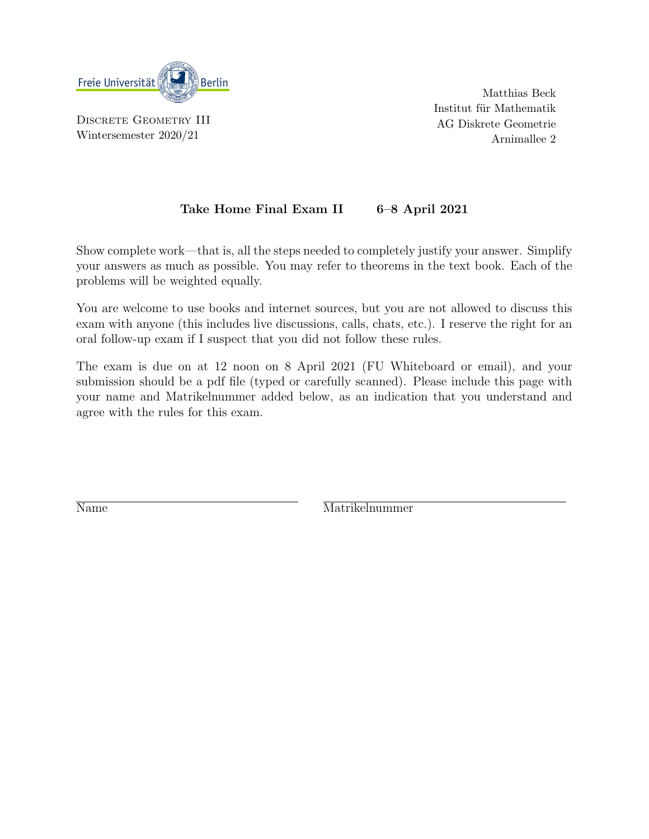

DISCRETE GEOMETRY III Wintersemester 2020/21

Matthias Beck Institut für Mathematik AG Diskrete Geometrie Arnimallee 2

## Take Home Final Exam II 6–8 April 2021

Show complete work—that is, all the steps needed to completely justify your answer. Simplify your answers as much as possible. You may refer to theorems in the text book. Each of the problems will be weighted equally.

You are welcome to use books and internet sources, but you are not allowed to discuss this exam with anyone (this includes live discussions, calls, chats, etc.). I reserve the right for an oral follow-up exam if I suspect that you did not follow these rules.

The exam is due on at 12 noon on 8 April 2021 (FU Whiteboard or email), and your submission should be a pdf file (typed or carefully scanned). Please include this page with your name and Matrikelnummer added below, as an indication that you understand and agree with the rules for this exam.

Name Matrikelnummer